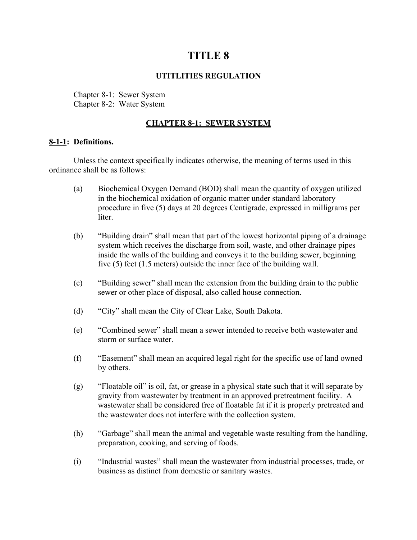# **TITLE 8**

## **UTITLITIES REGULATION**

Chapter 8-1: Sewer System Chapter 8-2: Water System

## **CHAPTER 8-1: SEWER SYSTEM**

## **8-1-1: Definitions.**

Unless the context specifically indicates otherwise, the meaning of terms used in this ordinance shall be as follows:

- (a) Biochemical Oxygen Demand (BOD) shall mean the quantity of oxygen utilized in the biochemical oxidation of organic matter under standard laboratory procedure in five (5) days at 20 degrees Centigrade, expressed in milligrams per liter.
- (b) "Building drain" shall mean that part of the lowest horizontal piping of a drainage system which receives the discharge from soil, waste, and other drainage pipes inside the walls of the building and conveys it to the building sewer, beginning five (5) feet (1.5 meters) outside the inner face of the building wall.
- (c) "Building sewer" shall mean the extension from the building drain to the public sewer or other place of disposal, also called house connection.
- (d) "City" shall mean the City of Clear Lake, South Dakota.
- (e) "Combined sewer" shall mean a sewer intended to receive both wastewater and storm or surface water.
- (f) "Easement" shall mean an acquired legal right for the specific use of land owned by others.
- (g) "Floatable oil" is oil, fat, or grease in a physical state such that it will separate by gravity from wastewater by treatment in an approved pretreatment facility. A wastewater shall be considered free of floatable fat if it is properly pretreated and the wastewater does not interfere with the collection system.
- (h) "Garbage" shall mean the animal and vegetable waste resulting from the handling, preparation, cooking, and serving of foods.
- (i) "Industrial wastes" shall mean the wastewater from industrial processes, trade, or business as distinct from domestic or sanitary wastes.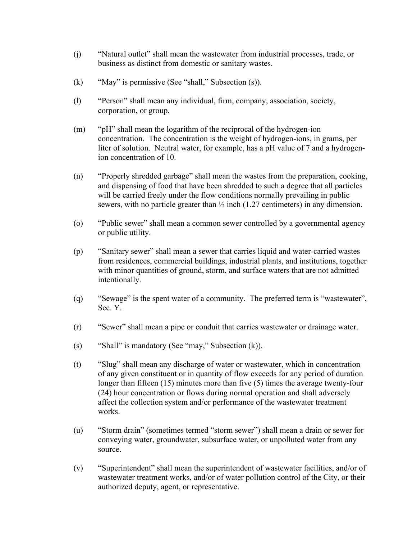- (j) "Natural outlet" shall mean the wastewater from industrial processes, trade, or business as distinct from domestic or sanitary wastes.
- (k) "May" is permissive (See "shall," Subsection (s)).
- (l) "Person" shall mean any individual, firm, company, association, society, corporation, or group.
- (m) "pH" shall mean the logarithm of the reciprocal of the hydrogen-ion concentration. The concentration is the weight of hydrogen-ions, in grams, per liter of solution. Neutral water, for example, has a pH value of 7 and a hydrogenion concentration of 10.
- (n) "Properly shredded garbage" shall mean the wastes from the preparation, cooking, and dispensing of food that have been shredded to such a degree that all particles will be carried freely under the flow conditions normally prevailing in public sewers, with no particle greater than  $\frac{1}{2}$  inch (1.27 centimeters) in any dimension.
- (o) "Public sewer" shall mean a common sewer controlled by a governmental agency or public utility.
- (p) "Sanitary sewer" shall mean a sewer that carries liquid and water-carried wastes from residences, commercial buildings, industrial plants, and institutions, together with minor quantities of ground, storm, and surface waters that are not admitted intentionally.
- (q) "Sewage" is the spent water of a community. The preferred term is "wastewater", Sec. Y.
- (r) "Sewer" shall mean a pipe or conduit that carries wastewater or drainage water.
- (s) "Shall" is mandatory (See "may," Subsection (k)).
- (t) "Slug" shall mean any discharge of water or wastewater, which in concentration of any given constituent or in quantity of flow exceeds for any period of duration longer than fifteen (15) minutes more than five (5) times the average twenty-four (24) hour concentration or flows during normal operation and shall adversely affect the collection system and/or performance of the wastewater treatment works.
- (u) "Storm drain" (sometimes termed "storm sewer") shall mean a drain or sewer for conveying water, groundwater, subsurface water, or unpolluted water from any source.
- (v) "Superintendent" shall mean the superintendent of wastewater facilities, and/or of wastewater treatment works, and/or of water pollution control of the City, or their authorized deputy, agent, or representative.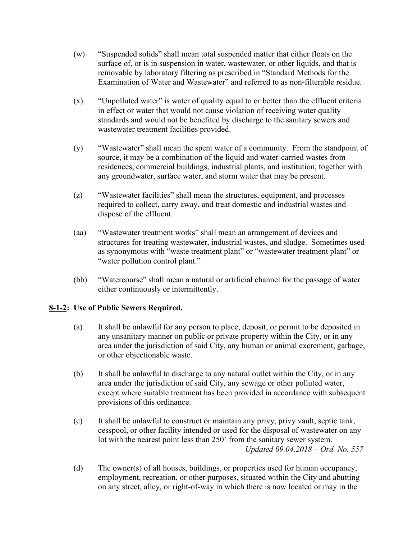- (w) "Suspended solids" shall mean total suspended matter that either floats on the surface of, or is in suspension in water, wastewater, or other liquids, and that is removable by laboratory filtering as prescribed in "Standard Methods for the Examination of Water and Wastewater" and referred to as non-filterable residue.
- (x) "Unpolluted water" is water of quality equal to or better than the effluent criteria in effect or water that would not cause violation of receiving water quality standards and would not be benefited by discharge to the sanitary sewers and wastewater treatment facilities provided.
- (y) "Wastewater" shall mean the spent water of a community. From the standpoint of source, it may be a combination of the liquid and water-carried wastes from residences, commercial buildings, industrial plants, and institution, together with any groundwater, surface water, and storm water that may be present.
- (z) "Wastewater facilities" shall mean the structures, equipment, and processes required to collect, carry away, and treat domestic and industrial wastes and dispose of the effluent.
- (aa) "Wastewater treatment works" shall mean an arrangement of devices and structures for treating wastewater, industrial wastes, and sludge. Sometimes used as synonymous with "waste treatment plant" or "wastewater treatment plant" or "water pollution control plant."
- (bb) "Watercourse" shall mean a natural or artificial channel for the passage of water either continuously or intermittently.

## **8-1-2: Use of Public Sewers Required.**

- (a) It shall be unlawful for any person to place, deposit, or permit to be deposited in any unsanitary manner on public or private property within the City, or in any area under the jurisdiction of said City, any human or animal excrement, garbage, or other objectionable waste.
- (b) It shall be unlawful to discharge to any natural outlet within the City, or in any area under the jurisdiction of said City, any sewage or other polluted water, except where suitable treatment has been provided in accordance with subsequent provisions of this ordinance.
- (c) It shall be unlawful to construct or maintain any privy, privy vault, septic tank, cesspool, or other facility intended or used for the disposal of wastewater on any lot with the nearest point less than 250' from the sanitary sewer system. *Updated 09.04.2018 – Ord. No. 557*
- (d) The owner(s) of all houses, buildings, or properties used for human occupancy, employment, recreation, or other purposes, situated within the City and abutting on any street, alley, or right-of-way in which there is now located or may in the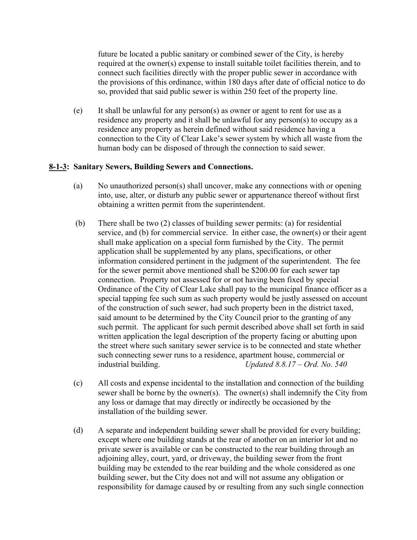future be located a public sanitary or combined sewer of the City, is hereby required at the owner(s) expense to install suitable toilet facilities therein, and to connect such facilities directly with the proper public sewer in accordance with the provisions of this ordinance, within 180 days after date of official notice to do so, provided that said public sewer is within 250 feet of the property line.

(e) It shall be unlawful for any person(s) as owner or agent to rent for use as a residence any property and it shall be unlawful for any person(s) to occupy as a residence any property as herein defined without said residence having a connection to the City of Clear Lake's sewer system by which all waste from the human body can be disposed of through the connection to said sewer.

## **8-1-3: Sanitary Sewers, Building Sewers and Connections.**

- (a) No unauthorized person(s) shall uncover, make any connections with or opening into, use, alter, or disturb any public sewer or appurtenance thereof without first obtaining a written permit from the superintendent.
- (b) There shall be two (2) classes of building sewer permits: (a) for residential service, and (b) for commercial service. In either case, the owner(s) or their agent shall make application on a special form furnished by the City. The permit application shall be supplemented by any plans, specifications, or other information considered pertinent in the judgment of the superintendent. The fee for the sewer permit above mentioned shall be \$200.00 for each sewer tap connection. Property not assessed for or not having been fixed by special Ordinance of the City of Clear Lake shall pay to the municipal finance officer as a special tapping fee such sum as such property would be justly assessed on account of the construction of such sewer, had such property been in the district taxed, said amount to be determined by the City Council prior to the granting of any such permit. The applicant for such permit described above shall set forth in said written application the legal description of the property facing or abutting upon the street where such sanitary sewer service is to be connected and state whether such connecting sewer runs to a residence, apartment house, commercial or industrial building. *Updated 8.8.17 – Ord. No. 540*
- (c) All costs and expense incidental to the installation and connection of the building sewer shall be borne by the owner(s). The owner(s) shall indemnify the City from any loss or damage that may directly or indirectly be occasioned by the installation of the building sewer.
- (d) A separate and independent building sewer shall be provided for every building; except where one building stands at the rear of another on an interior lot and no private sewer is available or can be constructed to the rear building through an adjoining alley, court, yard, or driveway, the building sewer from the front building may be extended to the rear building and the whole considered as one building sewer, but the City does not and will not assume any obligation or responsibility for damage caused by or resulting from any such single connection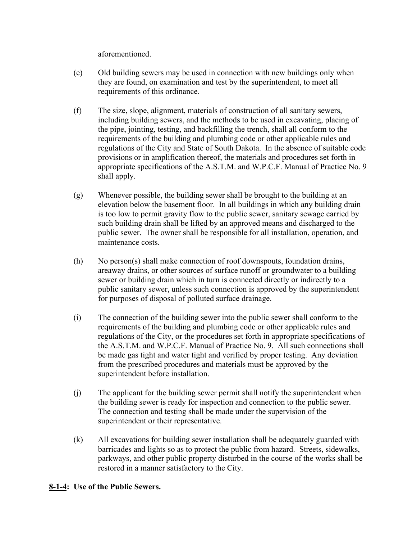aforementioned.

- (e) Old building sewers may be used in connection with new buildings only when they are found, on examination and test by the superintendent, to meet all requirements of this ordinance.
- (f) The size, slope, alignment, materials of construction of all sanitary sewers, including building sewers, and the methods to be used in excavating, placing of the pipe, jointing, testing, and backfilling the trench, shall all conform to the requirements of the building and plumbing code or other applicable rules and regulations of the City and State of South Dakota. In the absence of suitable code provisions or in amplification thereof, the materials and procedures set forth in appropriate specifications of the A.S.T.M. and W.P.C.F. Manual of Practice No. 9 shall apply.
- (g) Whenever possible, the building sewer shall be brought to the building at an elevation below the basement floor. In all buildings in which any building drain is too low to permit gravity flow to the public sewer, sanitary sewage carried by such building drain shall be lifted by an approved means and discharged to the public sewer. The owner shall be responsible for all installation, operation, and maintenance costs.
- (h) No person(s) shall make connection of roof downspouts, foundation drains, areaway drains, or other sources of surface runoff or groundwater to a building sewer or building drain which in turn is connected directly or indirectly to a public sanitary sewer, unless such connection is approved by the superintendent for purposes of disposal of polluted surface drainage.
- (i) The connection of the building sewer into the public sewer shall conform to the requirements of the building and plumbing code or other applicable rules and regulations of the City, or the procedures set forth in appropriate specifications of the A.S.T.M. and W.P.C.F. Manual of Practice No. 9. All such connections shall be made gas tight and water tight and verified by proper testing. Any deviation from the prescribed procedures and materials must be approved by the superintendent before installation.
- (j) The applicant for the building sewer permit shall notify the superintendent when the building sewer is ready for inspection and connection to the public sewer. The connection and testing shall be made under the supervision of the superintendent or their representative.
- (k) All excavations for building sewer installation shall be adequately guarded with barricades and lights so as to protect the public from hazard. Streets, sidewalks, parkways, and other public property disturbed in the course of the works shall be restored in a manner satisfactory to the City.

## **8-1-4: Use of the Public Sewers.**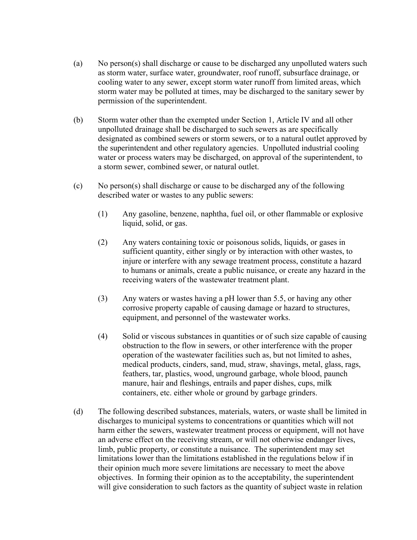- (a) No person(s) shall discharge or cause to be discharged any unpolluted waters such as storm water, surface water, groundwater, roof runoff, subsurface drainage, or cooling water to any sewer, except storm water runoff from limited areas, which storm water may be polluted at times, may be discharged to the sanitary sewer by permission of the superintendent.
- (b) Storm water other than the exempted under Section 1, Article IV and all other unpolluted drainage shall be discharged to such sewers as are specifically designated as combined sewers or storm sewers, or to a natural outlet approved by the superintendent and other regulatory agencies. Unpolluted industrial cooling water or process waters may be discharged, on approval of the superintendent, to a storm sewer, combined sewer, or natural outlet.
- (c) No person(s) shall discharge or cause to be discharged any of the following described water or wastes to any public sewers:
	- (1) Any gasoline, benzene, naphtha, fuel oil, or other flammable or explosive liquid, solid, or gas.
	- (2) Any waters containing toxic or poisonous solids, liquids, or gases in sufficient quantity, either singly or by interaction with other wastes, to injure or interfere with any sewage treatment process, constitute a hazard to humans or animals, create a public nuisance, or create any hazard in the receiving waters of the wastewater treatment plant.
	- (3) Any waters or wastes having a pH lower than 5.5, or having any other corrosive property capable of causing damage or hazard to structures, equipment, and personnel of the wastewater works.
	- (4) Solid or viscous substances in quantities or of such size capable of causing obstruction to the flow in sewers, or other interference with the proper operation of the wastewater facilities such as, but not limited to ashes, medical products, cinders, sand, mud, straw, shavings, metal, glass, rags, feathers, tar, plastics, wood, unground garbage, whole blood, paunch manure, hair and fleshings, entrails and paper dishes, cups, milk containers, etc. either whole or ground by garbage grinders.
- (d) The following described substances, materials, waters, or waste shall be limited in discharges to municipal systems to concentrations or quantities which will not harm either the sewers, wastewater treatment process or equipment, will not have an adverse effect on the receiving stream, or will not otherwise endanger lives, limb, public property, or constitute a nuisance. The superintendent may set limitations lower than the limitations established in the regulations below if in their opinion much more severe limitations are necessary to meet the above objectives. In forming their opinion as to the acceptability, the superintendent will give consideration to such factors as the quantity of subject waste in relation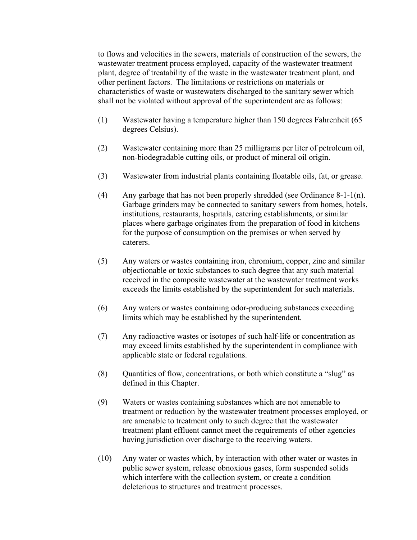to flows and velocities in the sewers, materials of construction of the sewers, the wastewater treatment process employed, capacity of the wastewater treatment plant, degree of treatability of the waste in the wastewater treatment plant, and other pertinent factors. The limitations or restrictions on materials or characteristics of waste or wastewaters discharged to the sanitary sewer which shall not be violated without approval of the superintendent are as follows:

- (1) Wastewater having a temperature higher than 150 degrees Fahrenheit (65 degrees Celsius).
- (2) Wastewater containing more than 25 milligrams per liter of petroleum oil, non-biodegradable cutting oils, or product of mineral oil origin.
- (3) Wastewater from industrial plants containing floatable oils, fat, or grease.
- (4) Any garbage that has not been properly shredded (see Ordinance  $8-1-1(n)$ . Garbage grinders may be connected to sanitary sewers from homes, hotels, institutions, restaurants, hospitals, catering establishments, or similar places where garbage originates from the preparation of food in kitchens for the purpose of consumption on the premises or when served by caterers.
- (5) Any waters or wastes containing iron, chromium, copper, zinc and similar objectionable or toxic substances to such degree that any such material received in the composite wastewater at the wastewater treatment works exceeds the limits established by the superintendent for such materials.
- (6) Any waters or wastes containing odor-producing substances exceeding limits which may be established by the superintendent.
- (7) Any radioactive wastes or isotopes of such half-life or concentration as may exceed limits established by the superintendent in compliance with applicable state or federal regulations.
- (8) Quantities of flow, concentrations, or both which constitute a "slug" as defined in this Chapter.
- (9) Waters or wastes containing substances which are not amenable to treatment or reduction by the wastewater treatment processes employed, or are amenable to treatment only to such degree that the wastewater treatment plant effluent cannot meet the requirements of other agencies having jurisdiction over discharge to the receiving waters.
- (10) Any water or wastes which, by interaction with other water or wastes in public sewer system, release obnoxious gases, form suspended solids which interfere with the collection system, or create a condition deleterious to structures and treatment processes.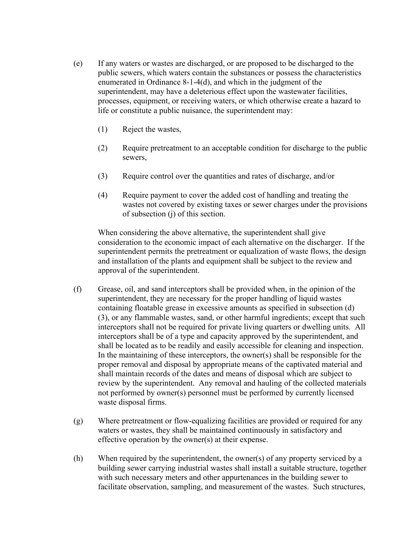- (e) If any waters or wastes are discharged, or are proposed to be discharged to the public sewers, which waters contain the substances or possess the characteristics enumerated in Ordinance 8-1-4(d), and which in the judgment of the superintendent, may have a deleterious effect upon the wastewater facilities, processes, equipment, or receiving waters, or which otherwise create a hazard to life or constitute a public nuisance, the superintendent may:
	- (1) Reject the wastes,
	- (2) Require pretreatment to an acceptable condition for discharge to the public sewers,
	- (3) Require control over the quantities and rates of discharge, and/or
	- (4) Require payment to cover the added cost of handling and treating the wastes not covered by existing taxes or sewer charges under the provisions of subsection (j) of this section.

When considering the above alternative, the superintendent shall give consideration to the economic impact of each alternative on the discharger. If the superintendent permits the pretreatment or equalization of waste flows, the design and installation of the plants and equipment shall be subject to the review and approval of the superintendent.

- (f) Grease, oil, and sand interceptors shall be provided when, in the opinion of the superintendent, they are necessary for the proper handling of liquid wastes containing floatable grease in excessive amounts as specified in subsection (d) (3), or any flammable wastes, sand, or other harmful ingredients; except that such interceptors shall not be required for private living quarters or dwelling units. All interceptors shall be of a type and capacity approved by the superintendent, and shall be located as to be readily and easily accessible for cleaning and inspection. In the maintaining of these interceptors, the owner(s) shall be responsible for the proper removal and disposal by appropriate means of the captivated material and shall maintain records of the dates and means of disposal which are subject to review by the superintendent. Any removal and hauling of the collected materials not performed by owner(s) personnel must be performed by currently licensed waste disposal firms.
- (g) Where pretreatment or flow-equalizing facilities are provided or required for any waters or wastes, they shall be maintained continuously in satisfactory and effective operation by the owner(s) at their expense.
- (h) When required by the superintendent, the owner(s) of any property serviced by a building sewer carrying industrial wastes shall install a suitable structure, together with such necessary meters and other appurtenances in the building sewer to facilitate observation, sampling, and measurement of the wastes. Such structures,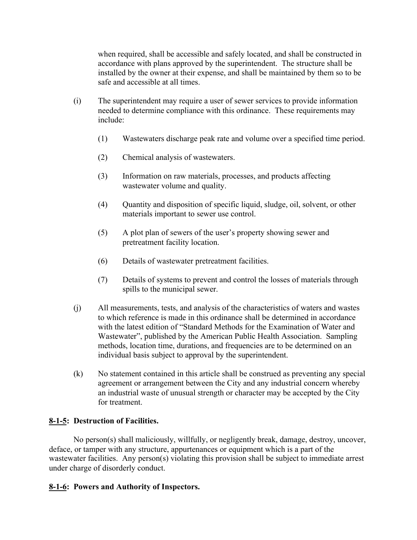when required, shall be accessible and safely located, and shall be constructed in accordance with plans approved by the superintendent. The structure shall be installed by the owner at their expense, and shall be maintained by them so to be safe and accessible at all times.

- (i) The superintendent may require a user of sewer services to provide information needed to determine compliance with this ordinance. These requirements may include:
	- (1) Wastewaters discharge peak rate and volume over a specified time period.
	- (2) Chemical analysis of wastewaters.
	- (3) Information on raw materials, processes, and products affecting wastewater volume and quality.
	- (4) Quantity and disposition of specific liquid, sludge, oil, solvent, or other materials important to sewer use control.
	- (5) A plot plan of sewers of the user's property showing sewer and pretreatment facility location.
	- (6) Details of wastewater pretreatment facilities.
	- (7) Details of systems to prevent and control the losses of materials through spills to the municipal sewer.
- (j) All measurements, tests, and analysis of the characteristics of waters and wastes to which reference is made in this ordinance shall be determined in accordance with the latest edition of "Standard Methods for the Examination of Water and Wastewater", published by the American Public Health Association. Sampling methods, location time, durations, and frequencies are to be determined on an individual basis subject to approval by the superintendent.
- (k) No statement contained in this article shall be construed as preventing any special agreement or arrangement between the City and any industrial concern whereby an industrial waste of unusual strength or character may be accepted by the City for treatment.

## **8-1-5: Destruction of Facilities.**

No person(s) shall maliciously, willfully, or negligently break, damage, destroy, uncover, deface, or tamper with any structure, appurtenances or equipment which is a part of the wastewater facilities. Any person(s) violating this provision shall be subject to immediate arrest under charge of disorderly conduct.

## **8-1-6: Powers and Authority of Inspectors.**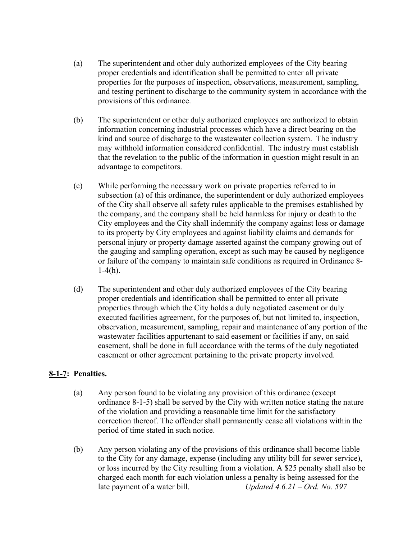- (a) The superintendent and other duly authorized employees of the City bearing proper credentials and identification shall be permitted to enter all private properties for the purposes of inspection, observations, measurement, sampling, and testing pertinent to discharge to the community system in accordance with the provisions of this ordinance.
- (b) The superintendent or other duly authorized employees are authorized to obtain information concerning industrial processes which have a direct bearing on the kind and source of discharge to the wastewater collection system. The industry may withhold information considered confidential. The industry must establish that the revelation to the public of the information in question might result in an advantage to competitors.
- (c) While performing the necessary work on private properties referred to in subsection (a) of this ordinance, the superintendent or duly authorized employees of the City shall observe all safety rules applicable to the premises established by the company, and the company shall be held harmless for injury or death to the City employees and the City shall indemnify the company against loss or damage to its property by City employees and against liability claims and demands for personal injury or property damage asserted against the company growing out of the gauging and sampling operation, except as such may be caused by negligence or failure of the company to maintain safe conditions as required in Ordinance 8-  $1-4(h)$ .
- (d) The superintendent and other duly authorized employees of the City bearing proper credentials and identification shall be permitted to enter all private properties through which the City holds a duly negotiated easement or duly executed facilities agreement, for the purposes of, but not limited to, inspection, observation, measurement, sampling, repair and maintenance of any portion of the wastewater facilities appurtenant to said easement or facilities if any, on said easement, shall be done in full accordance with the terms of the duly negotiated easement or other agreement pertaining to the private property involved.

## **8-1-7: Penalties.**

- (a) Any person found to be violating any provision of this ordinance (except ordinance 8-1-5) shall be served by the City with written notice stating the nature of the violation and providing a reasonable time limit for the satisfactory correction thereof. The offender shall permanently cease all violations within the period of time stated in such notice.
- (b) Any person violating any of the provisions of this ordinance shall become liable to the City for any damage, expense (including any utility bill for sewer service), or loss incurred by the City resulting from a violation. A \$25 penalty shall also be charged each month for each violation unless a penalty is being assessed for the late payment of a water bill. *Updated 4.6.21 – Ord. No. 597*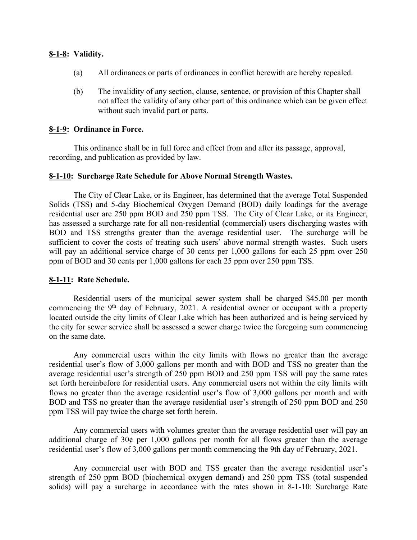## **8-1-8: Validity.**

- (a) All ordinances or parts of ordinances in conflict herewith are hereby repealed.
- (b) The invalidity of any section, clause, sentence, or provision of this Chapter shall not affect the validity of any other part of this ordinance which can be given effect without such invalid part or parts.

## **8-1-9: Ordinance in Force.**

This ordinance shall be in full force and effect from and after its passage, approval, recording, and publication as provided by law.

## **8-1-10: Surcharge Rate Schedule for Above Normal Strength Wastes.**

The City of Clear Lake, or its Engineer, has determined that the average Total Suspended Solids (TSS) and 5-day Biochemical Oxygen Demand (BOD) daily loadings for the average residential user are 250 ppm BOD and 250 ppm TSS. The City of Clear Lake, or its Engineer, has assessed a surcharge rate for all non-residential (commercial) users discharging wastes with BOD and TSS strengths greater than the average residential user. The surcharge will be sufficient to cover the costs of treating such users' above normal strength wastes. Such users will pay an additional service charge of 30 cents per 1,000 gallons for each 25 ppm over 250 ppm of BOD and 30 cents per 1,000 gallons for each 25 ppm over 250 ppm TSS.

## **8-1-11: Rate Schedule.**

Residential users of the municipal sewer system shall be charged \$45.00 per month commencing the 9th day of February, 2021. A residential owner or occupant with a property located outside the city limits of Clear Lake which has been authorized and is being serviced by the city for sewer service shall be assessed a sewer charge twice the foregoing sum commencing on the same date.

Any commercial users within the city limits with flows no greater than the average residential user's flow of 3,000 gallons per month and with BOD and TSS no greater than the average residential user's strength of 250 ppm BOD and 250 ppm TSS will pay the same rates set forth hereinbefore for residential users. Any commercial users not within the city limits with flows no greater than the average residential user's flow of 3,000 gallons per month and with BOD and TSS no greater than the average residential user's strength of 250 ppm BOD and 250 ppm TSS will pay twice the charge set forth herein.

Any commercial users with volumes greater than the average residential user will pay an additional charge of  $30¢$  per 1,000 gallons per month for all flows greater than the average residential user's flow of 3,000 gallons per month commencing the 9th day of February, 2021.

Any commercial user with BOD and TSS greater than the average residential user's strength of 250 ppm BOD (biochemical oxygen demand) and 250 ppm TSS (total suspended solids) will pay a surcharge in accordance with the rates shown in 8-1-10: Surcharge Rate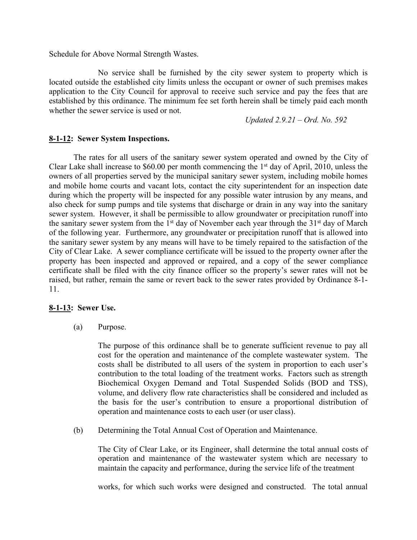Schedule for Above Normal Strength Wastes.

No service shall be furnished by the city sewer system to property which is located outside the established city limits unless the occupant or owner of such premises makes application to the City Council for approval to receive such service and pay the fees that are established by this ordinance. The minimum fee set forth herein shall be timely paid each month whether the sewer service is used or not.

*Updated 2.9.21 – Ord. No. 592*

## **8-1-12: Sewer System Inspections.**

The rates for all users of the sanitary sewer system operated and owned by the City of Clear Lake shall increase to \$60.00 per month commencing the  $1<sup>st</sup>$  day of April, 2010, unless the owners of all properties served by the municipal sanitary sewer system, including mobile homes and mobile home courts and vacant lots, contact the city superintendent for an inspection date during which the property will be inspected for any possible water intrusion by any means, and also check for sump pumps and tile systems that discharge or drain in any way into the sanitary sewer system. However, it shall be permissible to allow groundwater or precipitation runoff into the sanitary sewer system from the  $1<sup>st</sup>$  day of November each year through the  $31<sup>st</sup>$  day of March of the following year. Furthermore, any groundwater or precipitation runoff that is allowed into the sanitary sewer system by any means will have to be timely repaired to the satisfaction of the City of Clear Lake. A sewer compliance certificate will be issued to the property owner after the property has been inspected and approved or repaired, and a copy of the sewer compliance certificate shall be filed with the city finance officer so the property's sewer rates will not be raised, but rather, remain the same or revert back to the sewer rates provided by Ordinance 8-1- 11.

## **8-1-13: Sewer Use.**

(a) Purpose.

The purpose of this ordinance shall be to generate sufficient revenue to pay all cost for the operation and maintenance of the complete wastewater system. The costs shall be distributed to all users of the system in proportion to each user's contribution to the total loading of the treatment works. Factors such as strength Biochemical Oxygen Demand and Total Suspended Solids (BOD and TSS), volume, and delivery flow rate characteristics shall be considered and included as the basis for the user's contribution to ensure a proportional distribution of operation and maintenance costs to each user (or user class).

(b) Determining the Total Annual Cost of Operation and Maintenance.

The City of Clear Lake, or its Engineer, shall determine the total annual costs of operation and maintenance of the wastewater system which are necessary to maintain the capacity and performance, during the service life of the treatment

works, for which such works were designed and constructed. The total annual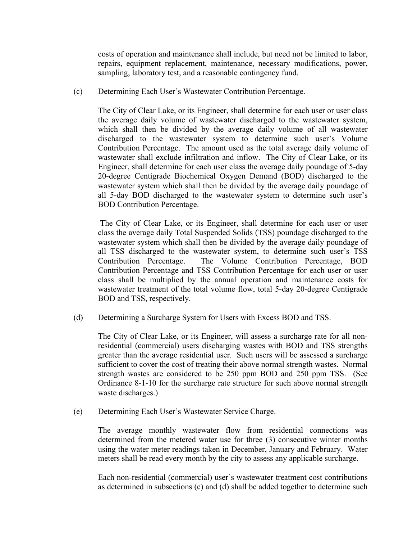costs of operation and maintenance shall include, but need not be limited to labor, repairs, equipment replacement, maintenance, necessary modifications, power, sampling, laboratory test, and a reasonable contingency fund.

(c) Determining Each User's Wastewater Contribution Percentage.

The City of Clear Lake, or its Engineer, shall determine for each user or user class the average daily volume of wastewater discharged to the wastewater system, which shall then be divided by the average daily volume of all wastewater discharged to the wastewater system to determine such user's Volume Contribution Percentage. The amount used as the total average daily volume of wastewater shall exclude infiltration and inflow. The City of Clear Lake, or its Engineer, shall determine for each user class the average daily poundage of 5-day 20-degree Centigrade Biochemical Oxygen Demand (BOD) discharged to the wastewater system which shall then be divided by the average daily poundage of all 5-day BOD discharged to the wastewater system to determine such user's BOD Contribution Percentage.

The City of Clear Lake, or its Engineer, shall determine for each user or user class the average daily Total Suspended Solids (TSS) poundage discharged to the wastewater system which shall then be divided by the average daily poundage of all TSS discharged to the wastewater system, to determine such user's TSS Contribution Percentage. The Volume Contribution Percentage, BOD Contribution Percentage and TSS Contribution Percentage for each user or user class shall be multiplied by the annual operation and maintenance costs for wastewater treatment of the total volume flow, total 5-day 20-degree Centigrade BOD and TSS, respectively.

(d) Determining a Surcharge System for Users with Excess BOD and TSS.

The City of Clear Lake, or its Engineer, will assess a surcharge rate for all nonresidential (commercial) users discharging wastes with BOD and TSS strengths greater than the average residential user. Such users will be assessed a surcharge sufficient to cover the cost of treating their above normal strength wastes. Normal strength wastes are considered to be 250 ppm BOD and 250 ppm TSS. (See Ordinance 8-1-10 for the surcharge rate structure for such above normal strength waste discharges.)

(e) Determining Each User's Wastewater Service Charge.

The average monthly wastewater flow from residential connections was determined from the metered water use for three (3) consecutive winter months using the water meter readings taken in December, January and February. Water meters shall be read every month by the city to assess any applicable surcharge.

Each non-residential (commercial) user's wastewater treatment cost contributions as determined in subsections (c) and (d) shall be added together to determine such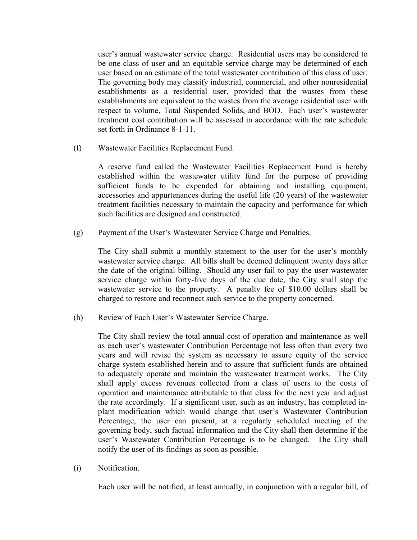user's annual wastewater service charge. Residential users may be considered to be one class of user and an equitable service charge may be determined of each user based on an estimate of the total wastewater contribution of this class of user. The governing body may classify industrial, commercial, and other nonresidential establishments as a residential user, provided that the wastes from these establishments are equivalent to the wastes from the average residential user with respect to volume, Total Suspended Solids, and BOD. Each user's wastewater treatment cost contribution will be assessed in accordance with the rate schedule set forth in Ordinance 8-1-11.

(f) Wastewater Facilities Replacement Fund.

A reserve fund called the Wastewater Facilities Replacement Fund is hereby established within the wastewater utility fund for the purpose of providing sufficient funds to be expended for obtaining and installing equipment, accessories and appurtenances during the useful life (20 years) of the wastewater treatment facilities necessary to maintain the capacity and performance for which such facilities are designed and constructed.

(g) Payment of the User's Wastewater Service Charge and Penalties.

The City shall submit a monthly statement to the user for the user's monthly wastewater service charge. All bills shall be deemed delinquent twenty days after the date of the original billing. Should any user fail to pay the user wastewater service charge within forty-five days of the due date, the City shall stop the wastewater service to the property. A penalty fee of \$10.00 dollars shall be charged to restore and reconnect such service to the property concerned.

(h) Review of Each User's Wastewater Service Charge.

The City shall review the total annual cost of operation and maintenance as well as each user's wastewater Contribution Percentage not less often than every two years and will revise the system as necessary to assure equity of the service charge system established herein and to assure that sufficient funds are obtained to adequately operate and maintain the wastewater treatment works. The City shall apply excess revenues collected from a class of users to the costs of operation and maintenance attributable to that class for the next year and adjust the rate accordingly. If a significant user, such as an industry, has completed inplant modification which would change that user's Wastewater Contribution Percentage, the user can present, at a regularly scheduled meeting of the governing body, such factual information and the City shall then determine if the user's Wastewater Contribution Percentage is to be changed. The City shall notify the user of its findings as soon as possible.

(i) Notification.

Each user will be notified, at least annually, in conjunction with a regular bill, of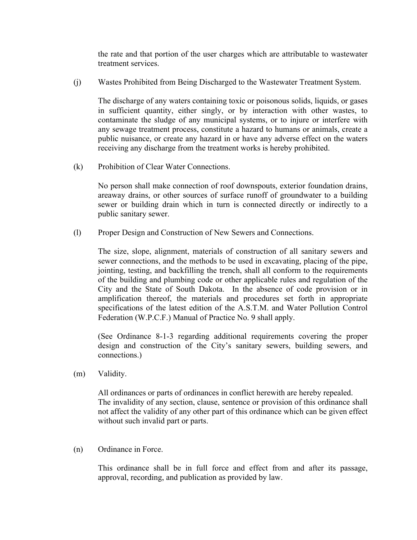the rate and that portion of the user charges which are attributable to wastewater treatment services.

(j) Wastes Prohibited from Being Discharged to the Wastewater Treatment System.

The discharge of any waters containing toxic or poisonous solids, liquids, or gases in sufficient quantity, either singly, or by interaction with other wastes, to contaminate the sludge of any municipal systems, or to injure or interfere with any sewage treatment process, constitute a hazard to humans or animals, create a public nuisance, or create any hazard in or have any adverse effect on the waters receiving any discharge from the treatment works is hereby prohibited.

(k) Prohibition of Clear Water Connections.

No person shall make connection of roof downspouts, exterior foundation drains, areaway drains, or other sources of surface runoff of groundwater to a building sewer or building drain which in turn is connected directly or indirectly to a public sanitary sewer.

(l) Proper Design and Construction of New Sewers and Connections.

The size, slope, alignment, materials of construction of all sanitary sewers and sewer connections, and the methods to be used in excavating, placing of the pipe, jointing, testing, and backfilling the trench, shall all conform to the requirements of the building and plumbing code or other applicable rules and regulation of the City and the State of South Dakota. In the absence of code provision or in amplification thereof, the materials and procedures set forth in appropriate specifications of the latest edition of the A.S.T.M. and Water Pollution Control Federation (W.P.C.F.) Manual of Practice No. 9 shall apply.

(See Ordinance 8-1-3 regarding additional requirements covering the proper design and construction of the City's sanitary sewers, building sewers, and connections.)

(m) Validity.

All ordinances or parts of ordinances in conflict herewith are hereby repealed. The invalidity of any section, clause, sentence or provision of this ordinance shall not affect the validity of any other part of this ordinance which can be given effect without such invalid part or parts.

(n) Ordinance in Force.

This ordinance shall be in full force and effect from and after its passage, approval, recording, and publication as provided by law.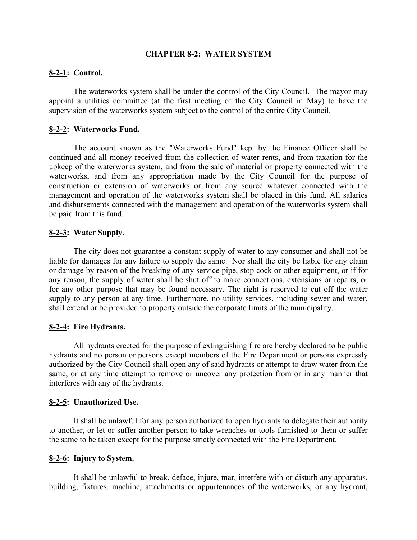## **CHAPTER 8-2: WATER SYSTEM**

## **8-2-1: Control.**

The waterworks system shall be under the control of the City Council. The mayor may appoint a utilities committee (at the first meeting of the City Council in May) to have the supervision of the waterworks system subject to the control of the entire City Council.

## **8-2-2: Waterworks Fund.**

The account known as the "Waterworks Fund" kept by the Finance Officer shall be continued and all money received from the collection of water rents, and from taxation for the upkeep of the waterworks system, and from the sale of material or property connected with the waterworks, and from any appropriation made by the City Council for the purpose of construction or extension of waterworks or from any source whatever connected with the management and operation of the waterworks system shall be placed in this fund. All salaries and disbursements connected with the management and operation of the waterworks system shall be paid from this fund.

## **8-2-3: Water Supply.**

The city does not guarantee a constant supply of water to any consumer and shall not be liable for damages for any failure to supply the same. Nor shall the city be liable for any claim or damage by reason of the breaking of any service pipe, stop cock or other equipment, or if for any reason, the supply of water shall be shut off to make connections, extensions or repairs, or for any other purpose that may be found necessary. The right is reserved to cut off the water supply to any person at any time. Furthermore, no utility services, including sewer and water, shall extend or be provided to property outside the corporate limits of the municipality.

## **8-2-4: Fire Hydrants.**

All hydrants erected for the purpose of extinguishing fire are hereby declared to be public hydrants and no person or persons except members of the Fire Department or persons expressly authorized by the City Council shall open any of said hydrants or attempt to draw water from the same, or at any time attempt to remove or uncover any protection from or in any manner that interferes with any of the hydrants.

## **8-2-5: Unauthorized Use.**

It shall be unlawful for any person authorized to open hydrants to delegate their authority to another, or let or suffer another person to take wrenches or tools furnished to them or suffer the same to be taken except for the purpose strictly connected with the Fire Department.

## **8-2-6: Injury to System.**

It shall be unlawful to break, deface, injure, mar, interfere with or disturb any apparatus, building, fixtures, machine, attachments or appurtenances of the waterworks, or any hydrant,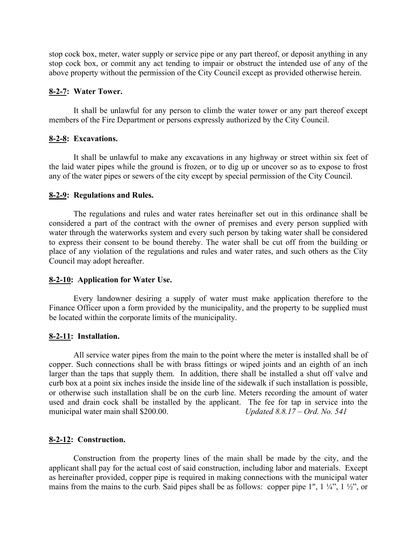stop cock box, meter, water supply or service pipe or any part thereof, or deposit anything in any stop cock box, or commit any act tending to impair or obstruct the intended use of any of the above property without the permission of the City Council except as provided otherwise herein.

## **8-2-7: Water Tower.**

It shall be unlawful for any person to climb the water tower or any part thereof except members of the Fire Department or persons expressly authorized by the City Council.

## **8-2-8: Excavations.**

It shall be unlawful to make any excavations in any highway or street within six feet of the laid water pipes while the ground is frozen, or to dig up or uncover so as to expose to frost any of the water pipes or sewers of the city except by special permission of the City Council.

### **8-2-9: Regulations and Rules.**

The regulations and rules and water rates hereinafter set out in this ordinance shall be considered a part of the contract with the owner of premises and every person supplied with water through the waterworks system and every such person by taking water shall be considered to express their consent to be bound thereby. The water shall be cut off from the building or place of any violation of the regulations and rules and water rates, and such others as the City Council may adopt hereafter.

#### **8-2-10: Application for Water Use.**

Every landowner desiring a supply of water must make application therefore to the Finance Officer upon a form provided by the municipality, and the property to be supplied must be located within the corporate limits of the municipality.

#### **8-2-11: Installation.**

All service water pipes from the main to the point where the meter is installed shall be of copper. Such connections shall be with brass fittings or wiped joints and an eighth of an inch larger than the taps that supply them. In addition, there shall be installed a shut off valve and curb box at a point six inches inside the inside line of the sidewalk if such installation is possible, or otherwise such installation shall be on the curb line. Meters recording the amount of water used and drain cock shall be installed by the applicant. The fee for tap in service into the municipal water main shall \$200.00. *Updated 8.8.17 – Ord. No. 541*

#### **8-2-12: Construction.**

Construction from the property lines of the main shall be made by the city, and the applicant shall pay for the actual cost of said construction, including labor and materials. Except as hereinafter provided, copper pipe is required in making connections with the municipal water mains from the mains to the curb. Said pipes shall be as follows: copper pipe 1", 1  $\frac{1}{4}$ ", 1  $\frac{1}{2}$ ", or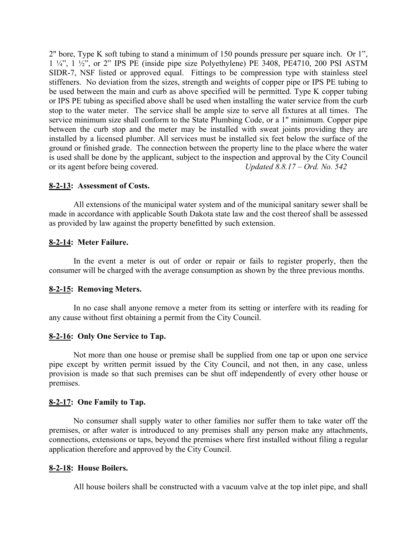2" bore, Type K soft tubing to stand a minimum of 150 pounds pressure per square inch. Or 1", 1 ¼", 1 ½", or 2" IPS PE (inside pipe size Polyethylene) PE 3408, PE4710, 200 PSI ASTM SIDR-7, NSF listed or approved equal. Fittings to be compression type with stainless steel stiffeners. No deviation from the sizes, strength and weights of copper pipe or IPS PE tubing to be used between the main and curb as above specified will be permitted. Type K copper tubing or IPS PE tubing as specified above shall be used when installing the water service from the curb stop to the water meter. The service shall be ample size to serve all fixtures at all times. The service minimum size shall conform to the State Plumbing Code, or a 1" minimum. Copper pipe between the curb stop and the meter may be installed with sweat joints providing they are installed by a licensed plumber. All services must be installed six feet below the surface of the ground or finished grade. The connection between the property line to the place where the water is used shall be done by the applicant, subject to the inspection and approval by the City Council or its agent before being covered. *Updated 8.8.17 – Ord. No. 542*

## **8-2-13: Assessment of Costs.**

All extensions of the municipal water system and of the municipal sanitary sewer shall be made in accordance with applicable South Dakota state law and the cost thereof shall be assessed as provided by law against the property benefitted by such extension.

## **8-2-14: Meter Failure.**

In the event a meter is out of order or repair or fails to register properly, then the consumer will be charged with the average consumption as shown by the three previous months.

## **8-2-15: Removing Meters.**

In no case shall anyone remove a meter from its setting or interfere with its reading for any cause without first obtaining a permit from the City Council.

## **8-2-16: Only One Service to Tap.**

Not more than one house or premise shall be supplied from one tap or upon one service pipe except by written permit issued by the City Council, and not then, in any case, unless provision is made so that such premises can be shut off independently of every other house or premises.

## **8-2-17: One Family to Tap.**

No consumer shall supply water to other families nor suffer them to take water off the premises, or after water is introduced to any premises shall any person make any attachments, connections, extensions or taps, beyond the premises where first installed without filing a regular application therefore and approved by the City Council.

## **8-2-18: House Boilers.**

All house boilers shall be constructed with a vacuum valve at the top inlet pipe, and shall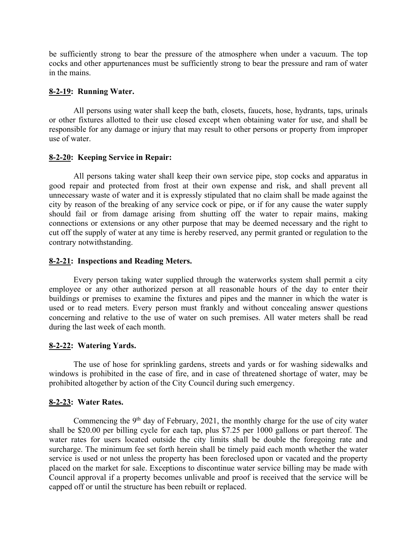be sufficiently strong to bear the pressure of the atmosphere when under a vacuum. The top cocks and other appurtenances must be sufficiently strong to bear the pressure and ram of water in the mains.

## **8-2-19: Running Water.**

All persons using water shall keep the bath, closets, faucets, hose, hydrants, taps, urinals or other fixtures allotted to their use closed except when obtaining water for use, and shall be responsible for any damage or injury that may result to other persons or property from improper use of water.

## **8-2-20: Keeping Service in Repair:**

All persons taking water shall keep their own service pipe, stop cocks and apparatus in good repair and protected from frost at their own expense and risk, and shall prevent all unnecessary waste of water and it is expressly stipulated that no claim shall be made against the city by reason of the breaking of any service cock or pipe, or if for any cause the water supply should fail or from damage arising from shutting off the water to repair mains, making connections or extensions or any other purpose that may be deemed necessary and the right to cut off the supply of water at any time is hereby reserved, any permit granted or regulation to the contrary notwithstanding.

## **8-2-21: Inspections and Reading Meters.**

Every person taking water supplied through the waterworks system shall permit a city employee or any other authorized person at all reasonable hours of the day to enter their buildings or premises to examine the fixtures and pipes and the manner in which the water is used or to read meters. Every person must frankly and without concealing answer questions concerning and relative to the use of water on such premises. All water meters shall be read during the last week of each month.

## **8-2-22: Watering Yards.**

The use of hose for sprinkling gardens, streets and yards or for washing sidewalks and windows is prohibited in the case of fire, and in case of threatened shortage of water, may be prohibited altogether by action of the City Council during such emergency.

## **8-2-23: Water Rates.**

Commencing the  $9<sup>th</sup>$  day of February, 2021, the monthly charge for the use of city water shall be \$20.00 per billing cycle for each tap, plus \$7.25 per 1000 gallons or part thereof. The water rates for users located outside the city limits shall be double the foregoing rate and surcharge. The minimum fee set forth herein shall be timely paid each month whether the water service is used or not unless the property has been foreclosed upon or vacated and the property placed on the market for sale. Exceptions to discontinue water service billing may be made with Council approval if a property becomes unlivable and proof is received that the service will be capped off or until the structure has been rebuilt or replaced.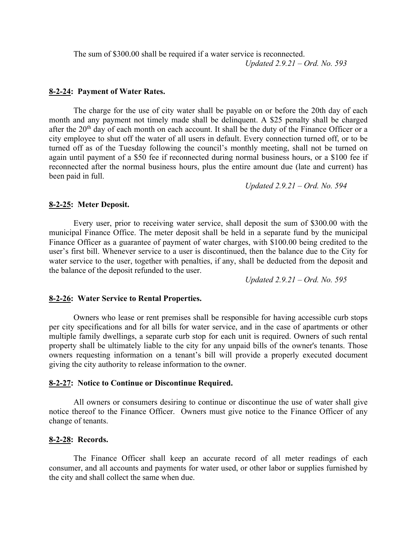The sum of \$300.00 shall be required if a water service is reconnected. *Updated 2.9.21 – Ord. No. 593*

#### **8-2-24: Payment of Water Rates.**

The charge for the use of city water shall be payable on or before the 20th day of each month and any payment not timely made shall be delinquent. A \$25 penalty shall be charged after the 20<sup>th</sup> day of each month on each account. It shall be the duty of the Finance Officer or a city employee to shut off the water of all users in default. Every connection turned off, or to be turned off as of the Tuesday following the council's monthly meeting, shall not be turned on again until payment of a \$50 fee if reconnected during normal business hours, or a \$100 fee if reconnected after the normal business hours, plus the entire amount due (late and current) has been paid in full.

*Updated 2.9.21 – Ord. No. 594*

#### **8-2-25: Meter Deposit.**

Every user, prior to receiving water service, shall deposit the sum of \$300.00 with the municipal Finance Office. The meter deposit shall be held in a separate fund by the municipal Finance Officer as a guarantee of payment of water charges, with \$100.00 being credited to the user's first bill. Whenever service to a user is discontinued, then the balance due to the City for water service to the user, together with penalties, if any, shall be deducted from the deposit and the balance of the deposit refunded to the user.

*Updated 2.9.21 – Ord. No. 595*

#### **8-2-26: Water Service to Rental Properties.**

Owners who lease or rent premises shall be responsible for having accessible curb stops per city specifications and for all bills for water service, and in the case of apartments or other multiple family dwellings, a separate curb stop for each unit is required. Owners of such rental property shall be ultimately liable to the city for any unpaid bills of the owner's tenants. Those owners requesting information on a tenant's bill will provide a properly executed document giving the city authority to release information to the owner.

#### **8-2-27: Notice to Continue or Discontinue Required.**

All owners or consumers desiring to continue or discontinue the use of water shall give notice thereof to the Finance Officer. Owners must give notice to the Finance Officer of any change of tenants.

## **8-2-28: Records.**

The Finance Officer shall keep an accurate record of all meter readings of each consumer, and all accounts and payments for water used, or other labor or supplies furnished by the city and shall collect the same when due.